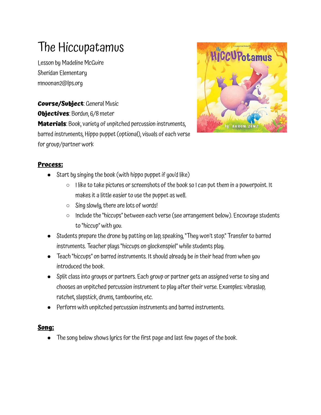## The Hiccupatamus

Lesson by Madeline McGuire Sheridan Elementary mnoonan2@lps.org

**Course/Subject**: General Music **Objectives**: Bordun, 6/8 meter **Materials**: Book, variety of unpitched percussion instruments, barred instruments, Hippo puppet (optional), visuals of each verse for group/partner work



## **Process:**

- Start by singing the book (with hippo puppet if you'd like)
	- $\circ$  I like to take pictures or screenshots of the book so I can put them in a powerpoint. It makesit a little easier to use the puppet as well.
	- $\circ$  Sing slowly, there are lots of words!
	- $\circ$  Include the "hiccups" between each verse (see arrangement below). Encourage students to "hiccup" with you.
- Students prepare the drone by patting on lap, speaking, "They won't stop." Transfer to barred instruments. Teacher plays"hiccups on glockenspiel" while students play.
- Teach "hiccups" on barred instruments. It should already be in their head from when you introduced the book.
- Split class into groups or partners. Each group or partner gets an assigned verse to sing and chooses an unpitched percussion instrument to play after their verse. Examples: vibraslap, ratchet, slapstick, drums, tambourine, etc.
- Perform with unpitched percussion instruments and barred instruments.

## **Song:**

The song below shows lyrics for the first page and last few pages of the book.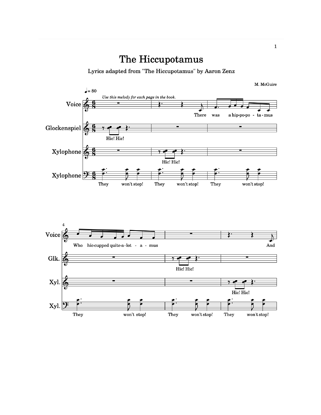## The Hiccupotamus

Lyrics adapted from "The Hiccupotamus" by Aaron Zenz



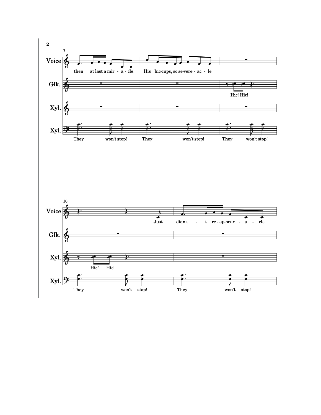